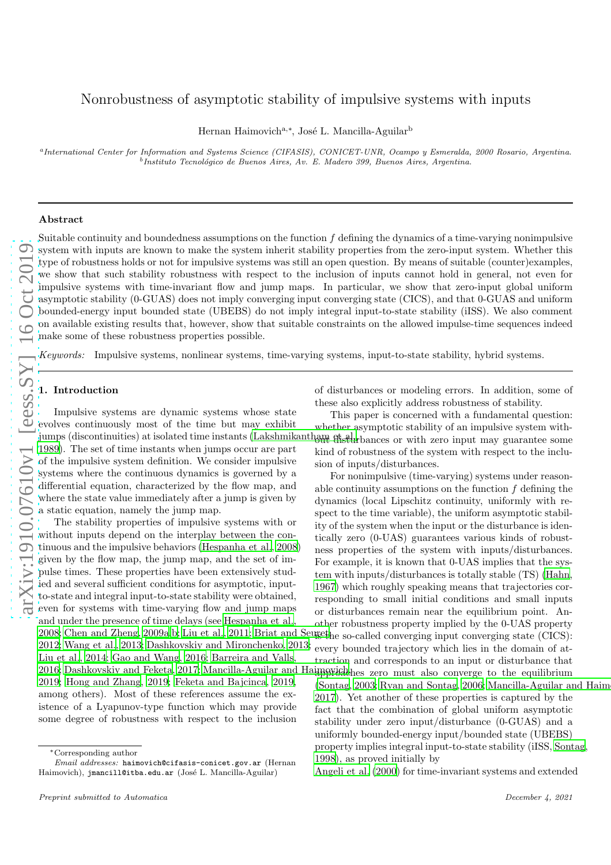# Nonrobustness of asymptotic stability of impulsive systems with inputs

Hernan Haimovich<sup>a,∗</sup>, José L. Mancilla-Aguilar<sup>b</sup>

a *International Center for Information and Systems Science (CIFASIS), CONICET-UNR, Ocampo y Esmeralda, 2000 Rosario, Argentina.* <sup>b</sup> Instituto Tecnológico de Buenos Aires, Av. E. Madero 399, Buenos Aires, Argentina.

# Abstract

Suitable continuity and boundedness assumptions on the function  $f$  defining the dynamics of a time-varying nonimpulsive system with inputs are known to make the system inherit stability properties from the zero-input system. Whether this type of robustness holds or not for impulsive systems was still an open question. By means of suitable (counter)examples, we show that such stability robustness with respect to the inclusion of inputs cannot hold in general, not even for impulsive systems with time-invariant flow and jump maps. In particular, we show that zero-input global uniform asymptotic stability (0-GUAS) does not imply converging input converging state (CICS), and that 0-GUAS and uniform bounded-energy input bounded state (UBEBS) do not imply integral input-to-state stability (iISS). We also comment on available existing results that, however, show that suitable constraints on the allowed impulse-time sequences indeed make some of these robustness properties possible.

*Keywords:* Impulsive systems, nonlinear systems, time-varying systems, input-to-state stability, hybrid systems.

# 1. Introduction

Impulsive systems are dynamic systems whose state evolves continuously most of the time but may exhibit jumps (discontinuities) at isolated time instants [\(Lakshmikantham et al.,](#page-7-0) [1989\)](#page-7-0). The set of time instants when jumps occur are part of the impulsive system definition. We consider impulsive systems where the continuous dynamics is governed by a differential equation, characterized by the flow map, and where the state value immediately after a jump is given by a static equation, namely the jump map.

The stability properties of impulsive systems with or without inputs depend on the interplay between the continuous and the impulsive behaviors [\(Hespanha et al., 2008\)](#page-7-1) given by the flow map, the jump map, and the set of impulse times. These properties have been extensively studied and several sufficient conditions for asymptotic, inputto-state and integral input-to-state stability were obtained, even for systems with time-varying flow and jump maps and under the presence of time delays (see [Hespanha et al.,](#page-7-1) [2008;](#page-7-1) [Chen and Zheng, 2009a](#page-7-2)[,b;](#page-7-3) [Liu et al., 2011;](#page-7-4) Briat and Seugethe so-called converging input converging state (CICS): [2012;](#page-7-5) [Wang et al., 2013;](#page-8-0) [Dashkovskiy and Mironchenko, 2013;](#page-7-6) [Liu et al., 2014;](#page-7-7) [Gao and Wang, 2016;](#page-7-8) [Barreira and Valls,](#page-7-9) [2016;](#page-7-9) [Dashkovskiy and Feketa, 2017;](#page-7-10) Mancilla-Aguilar and Haimparis above must also converge to the equilibrium [2019;](#page-8-1) [Hong and Zhang](#page-7-11), [2019;](#page-7-11) [Feketa and Bajcinca](#page-7-12), [2019,](#page-7-12) among others). Most of these references assume the existence of a Lyapunov-type function which may provide some degree of robustness with respect to the inclusion

of disturbances or modeling errors. In addition, some of these also explicitly address robustness of stability.

This paper is concerned with a fundamental question: whether asymptotic stability of an impulsive system without disturbances or with zero input may guarantee some kind of robustness of the system with respect to the inclusion of inputs/disturbances.

For nonimpulsive (time-varying) systems under reasonable continuity assumptions on the function  $f$  defining the dynamics (local Lipschitz continuity, uniformly with respect to the time variable), the uniform asymptotic stability of the system when the input or the disturbance is identically zero (0-UAS) guarantees various kinds of robustness properties of the system with inputs/disturbances. For example, it is known that 0-UAS implies that the system with inputs/disturbances is totally stable (TS) [\(Hahn,](#page-7-13) [1967\)](#page-7-13) which roughly speaking means that trajectories corresponding to small initial conditions and small inputs or disturbances remain near the equilibrium point. Another robustness property implied by the 0-UAS property every bounded trajectory which lies in the domain of at-

traction and corresponds to an input or disturbance that  $(Sontag, 2003; Ryan and Sontag, 2006; Mancilla-Aguilar and Haim$  $(Sontag, 2003; Ryan and Sontag, 2006; Mancilla-Aguilar and Haim$  $(Sontag, 2003; Ryan and Sontag, 2006; Mancilla-Aguilar and Haim$  $(Sontag, 2003; Ryan and Sontag, 2006; Mancilla-Aguilar and Haim$  $(Sontag, 2003; Ryan and Sontag, 2006; Mancilla-Aguilar and Haim$  $(Sontag, 2003; Ryan and Sontag, 2006; Mancilla-Aguilar and Haim$  $(Sontag, 2003; Ryan and Sontag, 2006; Mancilla-Aguilar and Haim$  $(Sontag, 2003; Ryan and Sontag, 2006; Mancilla-Aguilar and Haim$ [2017\)](#page-7-14). Yet another of these properties is captured by the fact that the combination of global uniform asymptotic stability under zero input/disturbance (0-GUAS) and a uniformly bounded-energy input/bounded state (UBEBS) property implies integral input-to-state stability (iISS, [Sontag,](#page-8-4) [1998\)](#page-8-4), as proved initially by

[Angeli et al. \(2000](#page-7-15)) for time-invariant systems and extended

<sup>∗</sup>Corresponding author

*Email addresses:* haimovich@cifasis-conicet.gov.ar (Hernan Haimovich), jmancill@itba.edu.ar (José L. Mancilla-Aguilar)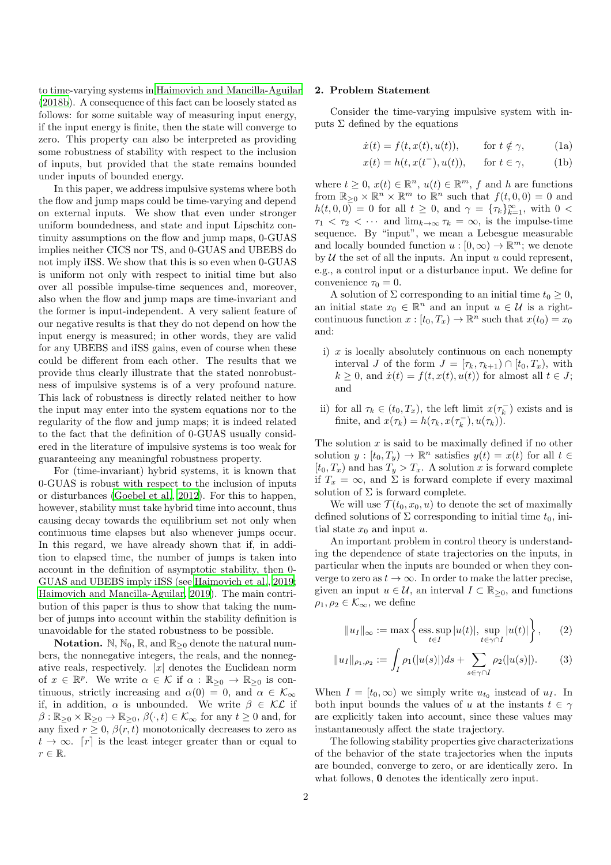to time-varying systems in [Haimovich and Mancilla-Aguilar](#page-7-16) [\(2018b\)](#page-7-16). A consequence of this fact can be loosely stated as follows: for some suitable way of measuring input energy, if the input energy is finite, then the state will converge to zero. This property can also be interpreted as providing some robustness of stability with respect to the inclusion of inputs, but provided that the state remains bounded under inputs of bounded energy.

In this paper, we address impulsive systems where both the flow and jump maps could be time-varying and depend on external inputs. We show that even under stronger uniform boundedness, and state and input Lipschitz continuity assumptions on the flow and jump maps, 0-GUAS implies neither CICS nor TS, and 0-GUAS and UBEBS do not imply iISS. We show that this is so even when 0-GUAS is uniform not only with respect to initial time but also over all possible impulse-time sequences and, moreover, also when the flow and jump maps are time-invariant and the former is input-independent. A very salient feature of our negative results is that they do not depend on how the input energy is measured; in other words, they are valid for any UBEBS and iISS gains, even of course when these could be different from each other. The results that we provide thus clearly illustrate that the stated nonrobustness of impulsive systems is of a very profound nature. This lack of robustness is directly related neither to how the input may enter into the system equations nor to the regularity of the flow and jump maps; it is indeed related to the fact that the definition of 0-GUAS usually considered in the literature of impulsive systems is too weak for guaranteeing any meaningful robustness property.

For (time-invariant) hybrid systems, it is known that 0-GUAS is robust with respect to the inclusion of inputs or disturbances [\(Goebel et al.](#page-7-17), [2012\)](#page-7-17). For this to happen, however, stability must take hybrid time into account, thus causing decay towards the equilibrium set not only when continuous time elapses but also whenever jumps occur. In this regard, we have already shown that if, in addition to elapsed time, the number of jumps is taken into account in the definition of asymptotic stability, then 0- GUAS and UBEBS imply iISS (see [Haimovich et al., 2019;](#page-7-18) [Haimovich and Mancilla-Aguilar, 2019\)](#page-7-19). The main contribution of this paper is thus to show that taking the number of jumps into account within the stability definition is unavoidable for the stated robustness to be possible.

**Notation.** N, N<sub>0</sub>, R, and  $\mathbb{R}_{\geq 0}$  denote the natural numbers, the nonnegative integers, the reals, and the nonnegative reals, respectively.  $|x|$  denotes the Euclidean norm of  $x \in \mathbb{R}^p$ . We write  $\alpha \in \mathcal{K}$  if  $\alpha : \mathbb{R}_{\geq 0} \to \mathbb{R}_{\geq 0}$  is continuous, strictly increasing and  $\alpha(0) = 0$ , and  $\alpha \in \mathcal{K}_{\infty}$ if, in addition,  $\alpha$  is unbounded. We write  $\beta \in \mathcal{KL}$  if  $\beta : \mathbb{R}_{\geq 0} \times \mathbb{R}_{\geq 0} \to \mathbb{R}_{\geq 0}, \ \beta(\cdot, t) \in \mathcal{K}_{\infty}$  for any  $t \geq 0$  and, for any fixed  $r > 0$ ,  $\beta(r, t)$  monotonically decreases to zero as  $t \to \infty$ . [r] is the least integer greater than or equal to  $r \in \mathbb{R}$ .

## 2. Problem Statement

Consider the time-varying impulsive system with inputs  $\Sigma$  defined by the equations

$$
\dot{x}(t) = f(t, x(t), u(t)), \quad \text{for } t \notin \gamma,
$$
 (1a)

<span id="page-1-0"></span>
$$
x(t) = h(t, x(t^-), u(t)), \quad \text{for } t \in \gamma,
$$
 (1b)

where  $t \geq 0$ ,  $x(t) \in \mathbb{R}^n$ ,  $u(t) \in \mathbb{R}^m$ ,  $f$  and  $h$  are functions from  $\mathbb{R}_{\geq 0} \times \mathbb{R}^n \times \mathbb{R}^m$  to  $\mathbb{R}^n$  such that  $f(t, 0, 0) = 0$  and  $h(t, 0, 0) = 0$  for all  $t \geq 0$ , and  $\gamma = {\tau_k}_{k=1}^{\infty}$ , with  $0 <$  $\tau_1 < \tau_2 < \cdots$  and  $\lim_{k \to \infty} \tau_k = \infty$ , is the impulse-time sequence. By "input", we mean a Lebesgue measurable and locally bounded function  $u : [0, \infty) \to \mathbb{R}^m$ ; we denote by  $U$  the set of all the inputs. An input u could represent, e.g., a control input or a disturbance input. We define for convenience  $\tau_0 = 0$ .

A solution of  $\Sigma$  corresponding to an initial time  $t_0 \geq 0$ , an initial state  $x_0 \in \mathbb{R}^n$  and an input  $u \in \mathcal{U}$  is a rightcontinuous function  $x : [t_0, T_x) \to \mathbb{R}^n$  such that  $x(t_0) = x_0$ and:

- i)  $x$  is locally absolutely continuous on each nonempty interval J of the form  $J = [\tau_k, \tau_{k+1}) \cap [t_0, T_x]$ , with  $k \geq 0$ , and  $\dot{x}(t) = f(t, x(t), u(t))$  for almost all  $t \in J$ ; and
- ii) for all  $\tau_k \in (t_0, T_x)$ , the left limit  $x(\tau_k^-)$  exists and is finite, and  $x(\tau_k) = h(\tau_k, x(\tau_k^-), u(\tau_k))$ .

The solution  $x$  is said to be maximally defined if no other solution  $y: [t_0, T_y) \to \mathbb{R}^n$  satisfies  $y(t) = x(t)$  for all  $t \in$  $[t_0, T_x)$  and has  $T_y > T_x$ . A solution x is forward complete if  $T_x = \infty$ , and  $\Sigma$  is forward complete if every maximal solution of  $\Sigma$  is forward complete.

We will use  $\mathcal{T}(t_0, x_0, u)$  to denote the set of maximally defined solutions of  $\Sigma$  corresponding to initial time  $t_0$ , initial state  $x_0$  and input u.

An important problem in control theory is understanding the dependence of state trajectories on the inputs, in particular when the inputs are bounded or when they converge to zero as  $t \to \infty$ . In order to make the latter precise, given an input  $u \in \mathcal{U}$ , an interval  $I \subset \mathbb{R}_{\geq 0}$ , and functions  $\rho_1, \rho_2 \in \mathcal{K}_{\infty}$ , we define

$$
||u_I||_{\infty} := \max\left\{\underset{t \in I}{\text{ess. sup}} |u(t)|, \underset{t \in \gamma \cap I}{\text{sup}} |u(t)|\right\},\qquad(2)
$$

$$
||u_I||_{\rho_1, \rho_2} := \int_I \rho_1(|u(s)|)ds + \sum_{s \in \gamma \cap I} \rho_2(|u(s)|). \tag{3}
$$

When  $I = [t_0, \infty)$  we simply write  $u_{t_0}$  instead of  $u_I$ . In both input bounds the values of u at the instants  $t \in \gamma$ are explicitly taken into account, since these values may instantaneously affect the state trajectory.

The following stability properties give characterizations of the behavior of the state trajectories when the inputs are bounded, converge to zero, or are identically zero. In what follows, **0** denotes the identically zero input.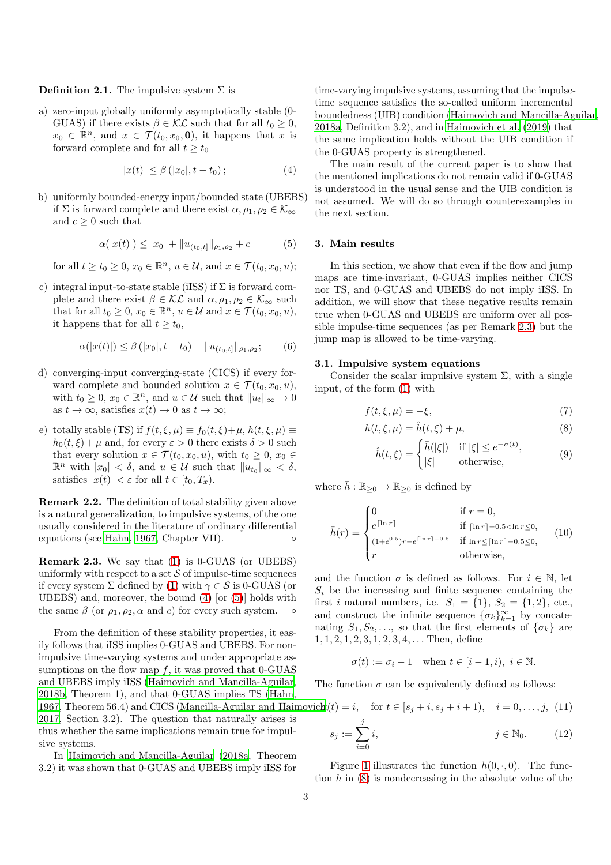**Definition 2.1.** The impulsive system  $\Sigma$  is

a) zero-input globally uniformly asymptotically stable (0- GUAS) if there exists  $\beta \in \mathcal{KL}$  such that for all  $t_0 \geq 0$ ,  $x_0 \in \mathbb{R}^n$ , and  $x \in \mathcal{T}(t_0, x_0, \mathbf{0})$ , it happens that x is forward complete and for all  $t \geq t_0$ 

$$
|x(t)| \leq \beta (|x_0|, t - t_0); \tag{4}
$$

b) uniformly bounded-energy input/bounded state (UBEBS) if  $\Sigma$  is forward complete and there exist  $\alpha, \rho_1, \rho_2 \in \mathcal{K}_{\infty}$ and  $c > 0$  such that

$$
\alpha(|x(t)|) \le |x_0| + \|u_{(t_0,t]}\|_{\rho_1, \rho_2} + c \tag{5}
$$

for all  $t \ge t_0 \ge 0$ ,  $x_0 \in \mathbb{R}^n$ ,  $u \in \mathcal{U}$ , and  $x \in \mathcal{T}(t_0, x_0, u)$ ;

c) integral input-to-state stable (iISS) if  $\Sigma$  is forward complete and there exist  $\beta \in \mathcal{KL}$  and  $\alpha, \rho_1, \rho_2 \in \mathcal{K}_{\infty}$  such that for all  $t_0 \geq 0$ ,  $x_0 \in \mathbb{R}^n$ ,  $u \in \mathcal{U}$  and  $x \in \mathcal{T}(t_0, x_0, u)$ , it happens that for all  $t \geq t_0$ ,

$$
\alpha(|x(t)|) \leq \beta(|x_0|, t - t_0) + ||u_{(t_0, t]}||_{\rho_1, \rho_2};\tag{6}
$$

- d) converging-input converging-state (CICS) if every forward complete and bounded solution  $x \in \mathcal{T}(t_0, x_0, u)$ , with  $t_0 \geq 0$ ,  $x_0 \in \mathbb{R}^n$ , and  $u \in \mathcal{U}$  such that  $||u_t||_{\infty} \to 0$ as  $t \to \infty$ , satisfies  $x(t) \to 0$  as  $t \to \infty$ ;
- e) totally stable (TS) if  $f(t, \xi, \mu) \equiv f_0(t, \xi) + \mu$ ,  $h(t, \xi, \mu) \equiv$  $h_0(t, \xi) + \mu$  and, for every  $\varepsilon > 0$  there exists  $\delta > 0$  such that every solution  $x \in \mathcal{T}(t_0, x_0, u)$ , with  $t_0 \geq 0, x_0 \in$  $\mathbb{R}^n$  with  $|x_0| < \delta$ , and  $u \in \mathcal{U}$  such that  $||u_{t_0}||_{\infty} < \delta$ , satisfies  $|x(t)| < \varepsilon$  for all  $t \in [t_0, T_x)$ .

Remark 2.2. The definition of total stability given above is a natural generalization, to impulsive systems, of the one usually considered in the literature of ordinary differential equations (see [Hahn, 1967,](#page-7-13) Chapter VII). ◦

<span id="page-2-2"></span>Remark 2.3. We say that [\(1\)](#page-1-0) is 0-GUAS (or UBEBS) uniformly with respect to a set  $\mathcal S$  of impulse-time sequences if every system  $\Sigma$  defined by [\(1\)](#page-1-0) with  $\gamma \in \mathcal{S}$  is 0-GUAS (or UBEBS) and, moreover, the bound [\(4\)](#page-2-0) [or [\(5\)](#page-2-1)] holds with the same  $\beta$  (or  $\rho_1, \rho_2, \alpha$  and c) for every such system.

From the definition of these stability properties, it easily follows that iISS implies 0-GUAS and UBEBS. For nonimpulsive time-varying systems and under appropriate assumptions on the flow map  $f$ , it was proved that 0-GUAS and UBEBS imply iISS [\(Haimovich and Mancilla-Aguilar,](#page-7-16) [2018b](#page-7-16), Theorem 1), and that 0-GUAS implies TS [\(Hahn,](#page-7-13) [1967,](#page-7-13) Theorem 56.4) and CICS (Mancilla-Aguilar and Haimovic $\mathbf{b}(t)$ [2017,](#page-7-14) Section 3.2). The question that naturally arises is thus whether the same implications remain true for impulsive systems.

In [Haimovich and Mancilla-Aguilar \(2018a,](#page-7-20) Theorem 3.2) it was shown that 0-GUAS and UBEBS imply iISS for

time-varying impulsive systems, assuming that the impulsetime sequence satisfies the so-called uniform incremental boundedness (UIB) condition [\(Haimovich and Mancilla-Aguilar,](#page-7-20) [2018a,](#page-7-20) Definition 3.2), and in [Haimovich et al. \(2019\)](#page-7-18) that the same implication holds without the UIB condition if the 0-GUAS property is strengthened.

<span id="page-2-0"></span>The main result of the current paper is to show that the mentioned implications do not remain valid if 0-GUAS is understood in the usual sense and the UIB condition is not assumed. We will do so through counterexamples in the next section.

## <span id="page-2-9"></span><span id="page-2-1"></span>3. Main results

In this section, we show that even if the flow and jump maps are time-invariant, 0-GUAS implies neither CICS nor TS, and 0-GUAS and UBEBS do not imply iISS. In addition, we will show that these negative results remain true when 0-GUAS and UBEBS are uniform over all possible impulse-time sequences (as per Remark [2.3\)](#page-2-2) but the jump map is allowed to be time-varying.

#### <span id="page-2-8"></span>3.1. Impulsive system equations

Consider the scalar impulsive system  $\Sigma$ , with a single input, of the form [\(1\)](#page-1-0) with

$$
f(t,\xi,\mu) = -\xi,\tag{7}
$$

$$
h(t,\xi,\mu) = \hat{h}(t,\xi) + \mu,\tag{8}
$$

<span id="page-2-7"></span><span id="page-2-4"></span><span id="page-2-3"></span>
$$
\hat{h}(t,\xi) = \begin{cases}\n\bar{h}(|\xi|) & \text{if } |\xi| \le e^{-\sigma(t)}, \\
|\xi| & \text{otherwise},\n\end{cases}
$$
\n(9)

where  $\bar{h}: \mathbb{R}_{\geq 0} \to \mathbb{R}_{\geq 0}$  is defined by

$$
\bar{h}(r) = \begin{cases}\n0 & \text{if } r = 0, \\
e^{\lceil \ln r \rceil} & \text{if } \lceil \ln r \rceil - 0.5 < \ln r \le 0, \\
(1 + e^{0.5})r - e^{\lceil \ln r \rceil - 0.5} & \text{if } \ln r \le \lceil \ln r \rceil - 0.5 \le 0, \\
r & \text{otherwise,} \n\end{cases}
$$
\n(10)

and the function  $\sigma$  is defined as follows. For  $i \in \mathbb{N}$ , let  $S_i$  be the increasing and finite sequence containing the first *i* natural numbers, i.e.  $S_1 = \{1\}$ ,  $S_2 = \{1, 2\}$ , etc., and construct the infinite sequence  $\{\sigma_k\}_{k=1}^{\infty}$  by concatenating  $S_1, S_2, \ldots$ , so that the first elements of  $\{\sigma_k\}$  are  $1, 1, 2, 1, 2, 3, 1, 2, 3, 4, \ldots$  Then, define

$$
\sigma(t):=\sigma_i-1\quad\text{when }t\in[i-1,i),\ i\in\mathbb{N}.
$$

The function  $\sigma$  can be equivalently defined as follows:

$$
a_i(t) = i, \text{ for } t \in [s_j + i, s_j + i + 1), \quad i = 0, ..., j, (11)
$$

$$
s_j := \sum_{i=1}^j i, \qquad j \in \mathbb{N}_0. \tag{12}
$$

Figure [1](#page-3-0) illustrates the function  $h(0, \cdot, 0)$ . The function  $h$  in  $(8)$  is nondecreasing in the absolute value of the

<span id="page-2-6"></span><span id="page-2-5"></span> $\sum_{i=0}$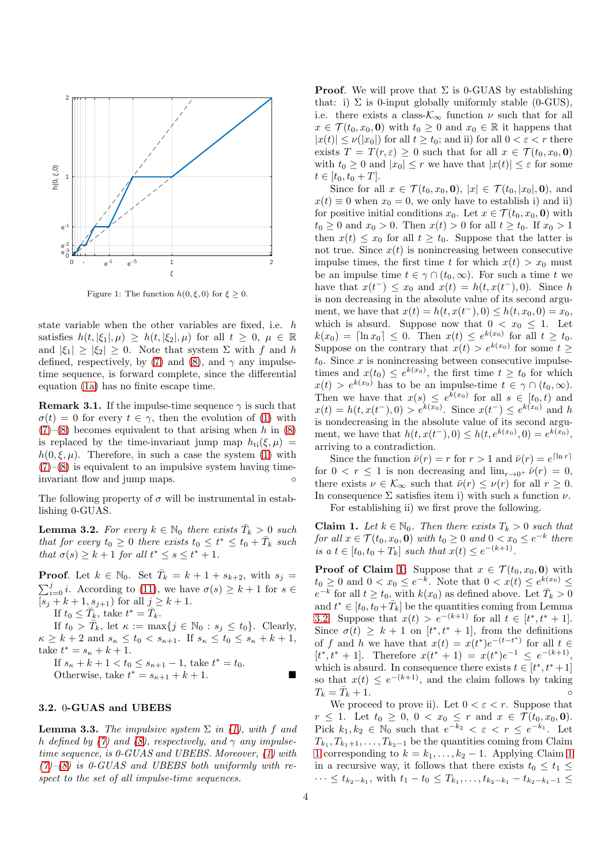

<span id="page-3-0"></span>Figure 1: The function  $h(0,\xi,0)$  for  $\xi \geq 0$ .

state variable when the other variables are fixed, i.e. h satisfies  $h(t, |\xi_1|, \mu) \geq h(t, |\xi_2|, \mu)$  for all  $t \geq 0, \mu \in \mathbb{R}$ and  $|\xi_1| \geq |\xi_2| \geq 0$ . Note that system  $\Sigma$  with f and h defined, respectively, by [\(7\)](#page-2-4) and [\(8\)](#page-2-3), and  $\gamma$  any impulsetime sequence, is forward complete, since the differential equation [\(1a\)](#page-1-0) has no finite escape time.

**Remark 3.1.** If the impulse-time sequence  $\gamma$  is such that  $\sigma(t) = 0$  for every  $t \in \gamma$ , then the evolution of [\(1\)](#page-1-0) with  $(7)-(8)$  $(7)-(8)$  $(7)-(8)$  becomes equivalent to that arising when h in  $(8)$ is replaced by the time-invariant jump map  $h_{ti}(\xi,\mu)$  =  $h(0,\xi,\mu)$ . Therefore, in such a case the system [\(1\)](#page-1-0) with  $(7)$ – $(8)$  is equivalent to an impulsive system having timeinvariant flow and jump maps.

<span id="page-3-2"></span>The following property of  $\sigma$  will be instrumental in establishing 0-GUAS.

**Lemma 3.2.** For every  $k \in \mathbb{N}_0$  there exists  $\overline{T}_k > 0$  such *that for every*  $t_0 \geq 0$  *there exists*  $t_0 \leq t^* \leq t_0 + \bar{T}_k$  *such that*  $\sigma(s) \geq k+1$  *for all*  $t^* \leq s \leq t^*+1$ *.* 

**Proof.** Let  $k \in \mathbb{N}_0$ . Set  $\overline{T}_k = k + 1 + s_{k+2}$ , with  $s_j =$  $\sum_{i=0}^{j} i$ . According to [\(11\)](#page-2-5), we have  $\sigma(s) \geq k+1$  for  $s \in$  $[s_j + k + 1, s_{j+1})$  for all  $j \ge k+1$ .

If  $t_0 \leq \overline{T}_k$ , take  $t^* = \overline{T}_k$ .

If  $t_0 > \overline{T}_k$ , let  $\kappa := \max\{j \in \mathbb{N}_0 : s_j \le t_0\}$ . Clearly,  $\kappa \geq k+2$  and  $s_{\kappa} \leq t_0 < s_{\kappa+1}$ . If  $s_{\kappa} \leq t_0 \leq s_{\kappa} + k + 1$ , take  $t^* = s_{\kappa} + k + 1$ .

If  $s_{\kappa} + k + 1 < t_0 \le s_{\kappa+1} - 1$ , take  $t^* = t_0$ . Otherwise, take  $t^* = s_{\kappa+1} + k + 1$ .

# <span id="page-3-4"></span>3.2. 0-GUAS and UBEBS

**Lemma 3.3.** *The impulsive system*  $\Sigma$  *in* [\(1\)](#page-1-0), with f and h *defined by* [\(7\)](#page-2-4) and [\(8\)](#page-2-3), respectively, and  $\gamma$  any impulse*time sequence, is 0-GUAS and UBEBS. Moreover, [\(1\)](#page-1-0) with [\(7\)](#page-2-4)–[\(8\)](#page-2-3) is 0-GUAS and UBEBS both uniformly with respect to the set of all impulse-time sequences.*

**Proof.** We will prove that  $\Sigma$  is 0-GUAS by establishing that: i)  $\Sigma$  is 0-input globally uniformly stable (0-GUS), i.e. there exists a class- $\mathcal{K}_{\infty}$  function  $\nu$  such that for all  $x \in \mathcal{T}(t_0, x_0, \mathbf{0})$  with  $t_0 \geq 0$  and  $x_0 \in \mathbb{R}$  it happens that  $|x(t)| \leq \nu(|x_0|)$  for all  $t \geq t_0$ ; and ii) for all  $0 < \varepsilon < r$  there exists  $T = T(r, \varepsilon) \geq 0$  such that for all  $x \in \mathcal{T}(t_0, x_0, \mathbf{0})$ with  $t_0 \geq 0$  and  $|x_0| \leq r$  we have that  $|x(t)| \leq \varepsilon$  for some  $t \in [t_0, t_0 + T]$ .

Since for all  $x \in \mathcal{T}(t_0, x_0, \mathbf{0}), |x| \in \mathcal{T}(t_0, |x_0|, \mathbf{0}),$  and  $x(t) \equiv 0$  when  $x_0 = 0$ , we only have to establish i) and ii) for positive initial conditions  $x_0$ . Let  $x \in \mathcal{T}(t_0, x_0, \mathbf{0})$  with  $t_0 \ge 0$  and  $x_0 > 0$ . Then  $x(t) > 0$  for all  $t \ge t_0$ . If  $x_0 > 1$ then  $x(t) \leq x_0$  for all  $t \geq t_0$ . Suppose that the latter is not true. Since  $x(t)$  is nonincreasing between consecutive impulse times, the first time t for which  $x(t) > x_0$  must be an impulse time  $t \in \gamma \cap (t_0, \infty)$ . For such a time t we have that  $x(t^-) \leq x_0$  and  $x(t) = h(t, x(t^-), 0)$ . Since h is non decreasing in the absolute value of its second argument, we have that  $x(t) = h(t, x(t^-), 0) \leq h(t, x_0, 0) = x_0$ , which is absurd. Suppose now that  $0 < x_0 \leq 1$ . Let  $k(x_0) = \lceil \ln x_0 \rceil \leq 0$ . Then  $x(t) \leq e^{k(x_0)}$  for all  $t \geq t_0$ . Suppose on the contrary that  $x(t) > e^{k(x_0)}$  for some  $t \geq$  $t_0$ . Since x is nonincreasing between consecutive impulsetimes and  $x(t_0) \leq e^{k(x_0)}$ , the first time  $t \geq t_0$  for which  $x(t) > e^{k(x_0)}$  has to be an impulse-time  $t \in \gamma \cap (t_0, \infty)$ . Then we have that  $x(s) \leq e^{k(x_0)}$  for all  $s \in [t_0, t)$  and  $x(t) = h(t, x(t^-), 0) > e^{k(x_0)}$ . Since  $x(t^-) \le e^{k(x_0)}$  and h is nondecreasing in the absolute value of its second argument, we have that  $h(t, x(t^-), 0) \leq h(t, e^{k(x_0)}, 0) = e^{k(x_0)},$ arriving to a contradiction.

<span id="page-3-3"></span>Since the function  $\bar{\nu}(r) = r$  for  $r > 1$  and  $\bar{\nu}(r) = e^{\lceil \ln r \rceil}$ for  $0 \le r \le 1$  is non decreasing and  $\lim_{r \to 0^+} \bar{\nu}(r) = 0$ , there exists  $\nu \in \mathcal{K}_{\infty}$  such that  $\bar{\nu}(r) \leq \nu(r)$  for all  $r \geq 0$ . In consequence  $\Sigma$  satisfies item i) with such a function  $\nu$ . For establishing ii) we first prove the following.

<span id="page-3-1"></span>Claim 1. Let  $k \in \mathbb{N}_0$ . Then there exists  $T_k > 0$  such that *for all*  $x \in \mathcal{T}(t_0, x_0, \mathbf{0})$  *with*  $t_0 \geq 0$  *and*  $0 < x_0 \leq e^{-k}$  *there is a*  $t \in [t_0, t_0 + T_k]$  *such that*  $x(t) \leq e^{-(k+1)}$ .

**Proof of Claim [1:](#page-3-1)** Suppose that  $x \in \mathcal{T}(t_0, x_0, \mathbf{0})$  with  $t_0 \geq 0$  and  $0 < x_0 \leq e^{-k}$ . Note that  $0 < x(t) \leq e^{k(x_0)} \leq$  $e^{-k}$  for all  $t \ge t_0$ , with  $k(x_0)$  as defined above. Let  $\overline{T}_k > 0$ and  $t^* \in [t_0, t_0 + \bar{T}_k]$  be the quantities coming from Lemma [3.2.](#page-3-2) Suppose that  $x(t) > e^{-(k+1)}$  for all  $t \in [t^*, t^* + 1]$ . Since  $\sigma(t) \geq k+1$  on  $[t^*, t^* + 1]$ , from the definitions of f and h we have that  $x(t) = x(t^*)e^{-(t-t^*)}$  for all  $t \in$  $[t^*, t^* + 1]$ . Therefore  $x(t^* + 1) = x(t^*)e^{-1} \leq e^{-(k+1)}$ , which is absurd. In consequence there exists  $t \in [t^*, t^* + 1]$ so that  $x(t) \leq e^{-(k+1)}$ , and the claim follows by taking  $T_k = \bar{T}_k + 1.$  $k + 1.$ 

We proceed to prove ii). Let  $0 < \varepsilon < r$ . Suppose that  $r \le 1$ . Let  $t_0 \ge 0$ ,  $0 < x_0 \le r$  and  $x \in \mathcal{T}(t_0, x_0, \mathbf{0})$ . Pick  $k_1, k_2 \in \mathbb{N}_0$  such that  $e^{-k_2} < \varepsilon < r \le e^{-k_1}$ . Let  $T_{k_1}, T_{k_1+1}, \ldots, T_{k_2-1}$  be the quantities coming from Claim [1](#page-3-1) corresponding to  $k = k_1, \ldots, k_2 - 1$  $k = k_1, \ldots, k_2 - 1$ . Applying Claim 1 in a recursive way, it follows that there exists  $t_0 \leq t_1 \leq$  $\cdots \leq t_{k_2-k_1}$ , with  $t_1 - t_0 \leq T_{k_1}, \ldots, t_{k_2-k_1} - t_{k_2-k_1-1} \leq$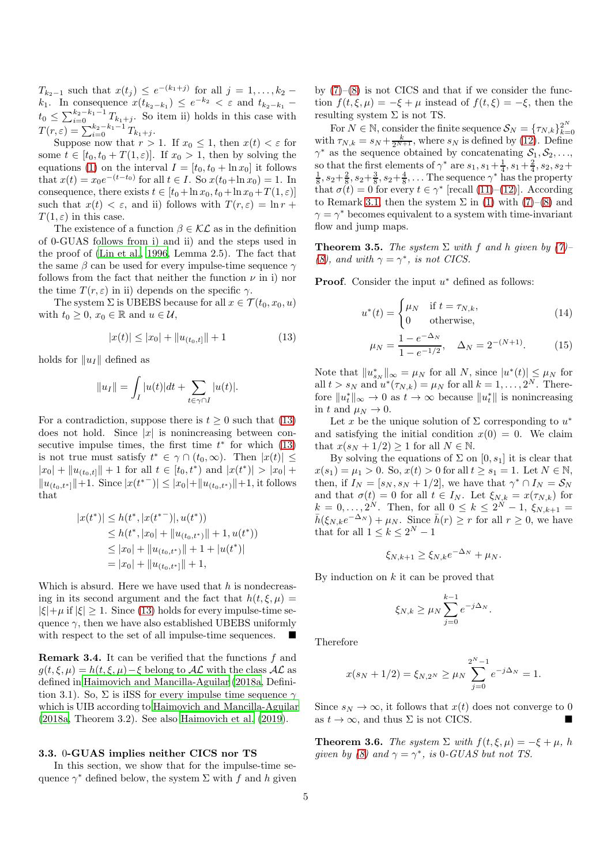$T_{k_2-1}$  such that  $x(t_j) \leq e^{-(k_1+j)}$  for all  $j = 1, ..., k_2 - 1$  $k_1$ . In consequence  $x(t_{k_2-k_1}) \leq e^{-k_2} < \varepsilon$  and  $t_{k_2-k_1}$  –  $t_0 \leq \sum_{i=0}^{k_2-k_1-1} T_{k_1+j}$ . So item ii) holds in this case with  $T(r,\varepsilon) = \sum_{i=0}^{k_2-k_1-1} T_{k_1+j}.$ 

Suppose now that  $r > 1$ . If  $x_0 \leq 1$ , then  $x(t) < \varepsilon$  for some  $t \in [t_0, t_0 + T(1, \varepsilon)]$ . If  $x_0 > 1$ , then by solving the equations [\(1\)](#page-1-0) on the interval  $I = [t_0, t_0 + \ln x_0]$  it follows that  $x(t) = x_0 e^{-(t-t_0)}$  for all  $t \in I$ . So  $x(t_0 + \ln x_0) = 1$ . In consequence, there exists  $t \in [t_0 + \ln x_0, t_0 + \ln x_0 + T(1, \varepsilon)]$ such that  $x(t) < \varepsilon$ , and ii) follows with  $T(r, \varepsilon) = \ln r +$  $T(1,\varepsilon)$  in this case.

The existence of a function  $\beta \in \mathcal{KL}$  as in the definition of 0-GUAS follows from i) and ii) and the steps used in the proof of [\(Lin et al., 1996](#page-7-21), Lemma 2.5). The fact that the same  $\beta$  can be used for every impulse-time sequence  $\gamma$ follows from the fact that neither the function  $\nu$  in i) nor the time  $T(r,\varepsilon)$  in ii) depends on the specific  $\gamma$ .

The system  $\Sigma$  is UBEBS because for all  $x \in \mathcal{T}(t_0, x_0, u)$ with  $t_0 \geq 0$ ,  $x_0 \in \mathbb{R}$  and  $u \in \mathcal{U}$ ,

$$
|x(t)| \le |x_0| + \|u_{(t_0, t]}\| + 1 \tag{13}
$$

holds for  $||u_I||$  defined as

$$
||u_I|| = \int_I |u(t)|dt + \sum_{t \in \gamma \cap I} |u(t)|.
$$

For a contradiction, suppose there is  $t \geq 0$  such that [\(13\)](#page-4-0) does not hold. Since  $|x|$  is nonincreasing between consecutive impulse times, the first time  $t^*$  for which  $(13)$ is not true must satisfy  $t^* \in \gamma \cap (t_0, \infty)$ . Then  $|x(t)| \le$  $|x_0| + ||u_{(t_0,t]}|| + 1$  for all  $t \in [t_0,t^*)$  and  $|x(t^*)| > |x_0| +$  $||u_{(t_0,t^*)}||+1.$  Since  $|x(t^{*-})| \leq |x_0| + ||u_{(t_0,t^*)}||+1$ , it follows that

$$
|x(t^*)| \le h(t^*, |x(t^{*-})|, u(t^*))
$$
  
\n
$$
\le h(t^*, |x_0| + \|u_{(t_0, t^*)}\| + 1, u(t^*))
$$
  
\n
$$
\le |x_0| + \|u_{(t_0, t^*)}\| + 1 + |u(t^*)|
$$
  
\n
$$
= |x_0| + \|u_{(t_0, t^*)}\| + 1,
$$

Which is absurd. Here we have used that  $h$  is nondecreasing in its second argument and the fact that  $h(t, \xi, \mu) =$  $|\xi| + \mu$  if  $|\xi| \geq 1$ . Since [\(13\)](#page-4-0) holds for every impulse-time sequence  $\gamma$ , then we have also established UBEBS uniformly with respect to the set of all impulse-time sequences.  $\blacksquare$ 

<span id="page-4-3"></span>**Remark 3.4.** It can be verified that the functions  $f$  and  $g(t,\xi,\mu) = h(t,\xi,\mu) - \xi$  belong to  $\mathcal{AL}$  with the class  $\mathcal{AL}$  as defined in [Haimovich and Mancilla-Aguilar \(2018a,](#page-7-20) Definition 3.1). So,  $\Sigma$  is iISS for every impulse time sequence  $\gamma$ which is UIB according to [Haimovich and Mancilla-Aguilar](#page-7-20) [\(2018a,](#page-7-20) Theorem 3.2). See also [Haimovich et al. \(2019\)](#page-7-18).

#### 3.3. 0-GUAS implies neither CICS nor TS

In this section, we show that for the impulse-time sequence  $\gamma^*$  defined below, the system  $\Sigma$  with  $f$  and  $h$  given

by  $(7)-(8)$  $(7)-(8)$  is not CICS and that if we consider the function  $f(t,\xi,\mu) = -\xi + \mu$  instead of  $f(t,\xi) = -\xi$ , then the resulting system  $\Sigma$  is not TS.

For  $N \in \mathbb{N}$ , consider the finite sequence  $\mathcal{S}_N = {\{\tau_{N,k}\}}_{k=1}^{2^N}$  $_{k=0}$ with  $\tau_{N,k} = s_N + \frac{k}{2^{N+1}}$ , where  $s_N$  is defined by [\(12\)](#page-2-6). Define  $\gamma^*$  as the sequence obtained by concatenating  $S_1, S_2, \ldots$ , so that the first elements of  $\gamma^*$  are  $s_1$ ,  $s_1 + \frac{1}{4}$ ,  $s_1 + \frac{2}{4}$ ,  $s_2$ ,  $s_2 + \frac{1}{8}$ ,  $s_2 + \frac{2}{8}$ ,  $s_2 + \frac{3}{8}$ ,  $s_2 + \frac{4}{8}$ ,... The sequence  $\gamma^*$  has the property that  $\sigma(t) = 0$  for every  $t \in \gamma^*$  [recall [\(11\)](#page-2-5)–[\(12\)](#page-2-6)]. According to Remark [3.1,](#page-3-3) then the system  $\Sigma$  in [\(1\)](#page-1-0) with [\(7\)](#page-2-4)–[\(8\)](#page-2-3) and  $\gamma = \gamma^*$  becomes equivalent to a system with time-invariant flow and jump maps.

**Theorem 3.5.** *The system*  $\Sigma$  *with*  $f$  *and*  $h$  *given* by  $(7)$ – *[\(8\)](#page-2-3),* and with  $\gamma = \gamma^*$ *, is not CICS.* 

**Proof.** Consider the input  $u^*$  defined as follows:

<span id="page-4-1"></span>
$$
u^*(t) = \begin{cases} \mu_N & \text{if } t = \tau_{N,k}, \\ 0 & \text{otherwise}, \end{cases}
$$
 (14)

$$
\mu_N = \frac{1 - e^{-\Delta_N}}{1 - e^{-1/2}}, \quad \Delta_N = 2^{-(N+1)}.
$$
 (15)

<span id="page-4-0"></span>Note that  $||u^*_{s_N}||_{\infty} = \mu_N$  for all N, since  $|u^*(t)| \leq \mu_N$  for all  $t > s_N$  and  $u^*(\tau_{N,k}) = \mu_N$  for all  $k = 1, \ldots, 2^N$ . Therefore  $||u_t^*||_{\infty} \to 0$  as  $t \to \infty$  because  $||u_t^*||$  is nonincreasing in t and  $\mu_N \to 0$ .

Let x be the unique solution of  $\Sigma$  corresponding to  $u^*$ and satisfying the initial condition  $x(0) = 0$ . We claim that  $x(s_N + 1/2) > 1$  for all  $N \in \mathbb{N}$ .

By solving the equations of  $\Sigma$  on  $[0, s_1]$  it is clear that  $x(s_1) = \mu_1 > 0$ . So,  $x(t) > 0$  for all  $t \geq s_1 = 1$ . Let  $N \in \mathbb{N}$ , then, if  $I_N = [s_N, s_N + 1/2]$ , we have that  $\gamma^* \cap I_N = \mathcal{S}_N$ and that  $\sigma(t) = 0$  for all  $t \in I_N$ . Let  $\xi_{N,k} = x(\tau_{N,k})$  for  $k = 0, \ldots, 2^N$ . Then, for all  $0 \le k \le 2^N - 1$ ,  $\xi_{N,k+1} =$  $\bar{h}(\xi_{N,k}e^{-\Delta_N}) + \mu_N$ . Since  $\bar{h}(r) \geq r$  for all  $r \geq 0$ , we have that for all  $1 \leq k \leq 2^N - 1$ 

$$
\xi_{N,k+1} \ge \xi_{N,k} e^{-\Delta_N} + \mu_N.
$$

By induction on  $k$  it can be proved that

$$
\xi_{N,k} \ge \mu_N \sum_{j=0}^{k-1} e^{-j\Delta_N}.
$$

Therefore

$$
x(s_N + 1/2) = \xi_{N,2^N} \ge \mu_N \sum_{j=0}^{2^N - 1} e^{-j\Delta_N} = 1.
$$

Since  $s_N \to \infty$ , it follows that  $x(t)$  does not converge to 0 as  $t \to \infty$ , and thus  $\Sigma$  is not CICS.

<span id="page-4-2"></span>**Theorem 3.6.** *The system*  $\Sigma$  *with*  $f(t, \xi, \mu) = -\xi + \mu$ *, h given by* [\(8\)](#page-2-3) and  $\gamma = \gamma^*$ , *is* 0*-GUAS but not TS.*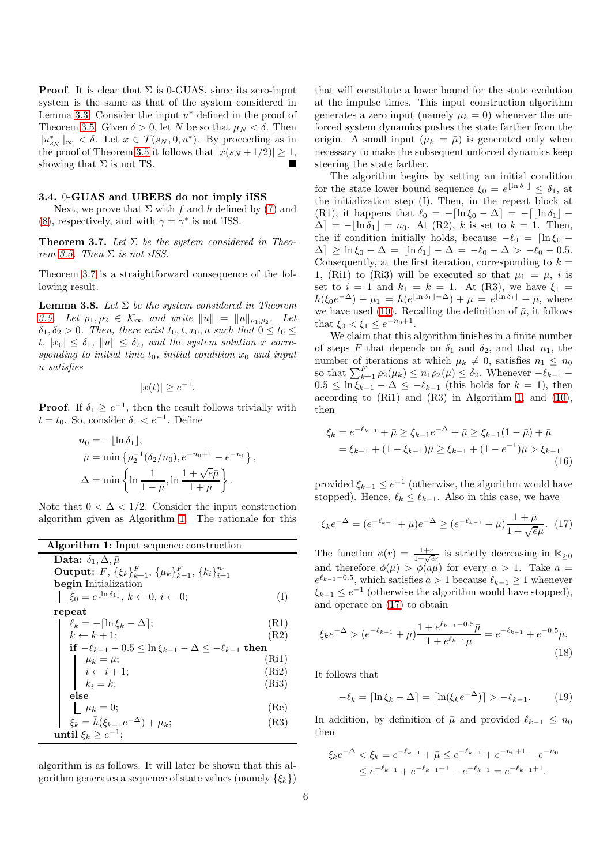**Proof.** It is clear that  $\Sigma$  is 0-GUAS, since its zero-input system is the same as that of the system considered in Lemma [3.3.](#page-3-4) Consider the input  $u^*$  defined in the proof of Theorem [3.5.](#page-4-1) Given  $\delta > 0$ , let N be so that  $\mu_N < \delta$ . Then  $||u^*_{s_N}||_{\infty} < \delta$ . Let  $x \in \mathcal{T}(s_N, 0, u^*)$ . By proceeding as in the proof of Theorem [3.5](#page-4-1) it follows that  $|x(s_N + 1/2)| \geq 1$ , showing that  $\Sigma$  is not TS.

# 3.4. 0-GUAS and UBEBS do not imply iISS

<span id="page-5-0"></span>Next, we prove that  $\Sigma$  with f and h defined by [\(7\)](#page-2-4) and [\(8\)](#page-2-3), respectively, and with  $\gamma = \gamma^*$  is not iISS.

Theorem 3.7. *Let* Σ *be the system considered in Theorem* [3.5.](#page-4-1) *Then*  $\Sigma$  *is not iISS.* 

<span id="page-5-6"></span>Theorem [3.7](#page-5-0) is a straightforward consequence of the following result.

Lemma 3.8. *Let* Σ *be the system considered in Theorem* [3.5.](#page-4-1) Let  $\rho_1, \rho_2 \in \mathcal{K}_{\infty}$  and write  $||u|| = ||u||_{\rho_1, \rho_2}$ . Let  $\delta_1, \delta_2 > 0$ . Then, there exist  $t_0, t, x_0, u$  such that  $0 \le t_0 \le$  $t, |x_0| \leq \delta_1, ||u|| \leq \delta_2$ , and the system solution x corre*sponding to initial time*  $t_0$ *, initial condition*  $x_0$  *and input* u *satisfies*

$$
|x(t)| \ge e^{-1}.
$$

**Proof.** If  $\delta_1 \geq e^{-1}$ , then the result follows trivially with  $t = t_0$ . So, consider  $\delta_1 < e^{-1}$ . Define

$$
n_0 = -\lfloor \ln \delta_1 \rfloor,
$$
  
\n
$$
\bar{\mu} = \min \{ \rho_2^{-1}(\delta_2/n_0), e^{-n_0+1} - e^{-n_0} \},\
$$
  
\n
$$
\Delta = \min \left\{ \ln \frac{1}{1 - \bar{\mu}}, \ln \frac{1 + \sqrt{e}\bar{\mu}}{1 + \bar{\mu}} \right\}.
$$

Note that  $0 < \Delta < 1/2$ . Consider the input construction algorithm given as Algorithm [1.](#page-5-1) The rationale for this

| <b>Algorithm 1:</b> Input sequence construction                                    |  |
|------------------------------------------------------------------------------------|--|
| Data: $\delta_1$ , $\Delta$ , $\bar{\mu}$                                          |  |
| <b>Output:</b> $F, \{\xi_k\}_{k=1}^F, \{\mu_k\}_{k=1}^F, \{k_i\}_{i=1}^{n_1}$      |  |
| begin Initialization                                                               |  |
| $\xi_0 = e^{\lfloor \ln \delta_1 \rfloor}, k \leftarrow 0, i \leftarrow 0;$<br>(I) |  |
| repeat                                                                             |  |
| $\ell_k = -\ln \xi_k - \Delta$ ;<br>(R1)                                           |  |
| $k \leftarrow k + 1$ ;<br>(R2)                                                     |  |
| if $-\ell_{k-1} - 0.5 \leq \ln \xi_{k-1} - \Delta \leq -\ell_{k-1}$ then           |  |
| (Ri1)<br>$\mu_k = \bar{\mu};$                                                      |  |
| (Ri2)                                                                              |  |
| $i \leftarrow i + 1;$<br>$k_i = k;$<br>(Ri3)                                       |  |
| else                                                                               |  |
| (Re)<br>$\mu_k = 0;$                                                               |  |
| $\xi_k = \bar{h}(\xi_{k-1}e^{-\Delta}) + \mu_k;$<br>(R3)                           |  |
| until $\xi_k \geq e^{-1}$ :                                                        |  |

algorithm is as follows. It will later be shown that this algorithm generates a sequence of state values (namely  $\{\xi_k\}$ )

that will constitute a lower bound for the state evolution at the impulse times. This input construction algorithm generates a zero input (namely  $\mu_k = 0$ ) whenever the unforced system dynamics pushes the state farther from the origin. A small input  $(\mu_k = \bar{\mu})$  is generated only when necessary to make the subsequent unforced dynamics keep steering the state farther.

The algorithm begins by setting an initial condition for the state lower bound sequence  $\xi_0 = e^{\lfloor \ln \delta_1 \rfloor} \leq \delta_1$ , at the initialization step (I). Then, in the repeat block at (R1), it happens that  $\ell_0 = -\lceil \ln \xi_0 - \Delta \rceil = -\lceil \lfloor \ln \delta_1 \rfloor - \ell \rceil$  $\Delta$  = - $\ln \delta_1$  =  $n_0$ . At (R2), k is set to  $k = 1$ . Then, the if condition initially holds, because  $-\ell_0 = \left[\ln \xi_0 - \frac{\xi_0}{\xi_0}\right]$  $\Delta \vert \geq \ln \xi_0 - \Delta = \vert \ln \delta_1 \vert - \Delta = -\ell_0 - \Delta > -\ell_0 - 0.5.$ Consequently, at the first iteration, corresponding to  $k =$ 1, (Ri1) to (Ri3) will be executed so that  $\mu_1 = \bar{\mu}$ , *i* is set to  $i = 1$  and  $k_1 = k = 1$ . At (R3), we have  $\xi_1 =$  $\bar{h}(\xi_0 e^{-\Delta}) + \mu_1 = \bar{h}(e^{\lfloor \ln \delta_1 \rfloor - \Delta}) + \bar{\mu} = e^{\lfloor \ln \delta_1 \rfloor} + \bar{\mu}$ , where we have used [\(10\)](#page-2-7). Recalling the definition of  $\bar{\mu}$ , it follows that  $\xi_0 < \xi_1 \leq e^{-n_0+1}$ .

We claim that this algorithm finishes in a finite number of steps F that depends on  $\delta_1$  and  $\delta_2$ , and that  $n_1$ , the number of iterations at which  $\mu_k \neq 0$ , satisfies  $n_1 \leq n_0$ so that  $\sum_{k=1}^{F} \rho_2(\mu_k) \leq n_1 \rho_2(\bar{\mu}) \leq \delta_2$ . Whenever  $-\ell_{k-1}$  –  $0.5 \leq \ln \xi_{k-1} - \Delta \leq -\ell_{k-1}$  (this holds for  $k = 1$ ), then according to (Ri1) and (R3) in Algorithm [1,](#page-5-1) and [\(10\)](#page-2-7), then

<span id="page-5-5"></span>
$$
\xi_k = e^{-\ell_{k-1}} + \bar{\mu} \ge \xi_{k-1} e^{-\Delta} + \bar{\mu} \ge \xi_{k-1} (1 - \bar{\mu}) + \bar{\mu}
$$
  
=  $\xi_{k-1} + (1 - \xi_{k-1})\bar{\mu} \ge \xi_{k-1} + (1 - e^{-1})\bar{\mu} > \xi_{k-1}$  (16)

<span id="page-5-1"></span>provided  $\xi_{k-1} \leq e^{-1}$  (otherwise, the algorithm would have stopped). Hence,  $\ell_k \leq \ell_{k-1}$ . Also in this case, we have

<span id="page-5-2"></span>
$$
\xi_k e^{-\Delta} = (e^{-\ell_{k-1}} + \bar{\mu})e^{-\Delta} \ge (e^{-\ell_{k-1}} + \bar{\mu})\frac{1+\bar{\mu}}{1+\sqrt{e}\bar{\mu}}.\tag{17}
$$

The function  $\phi(r) = \frac{1+r}{1+\sqrt{er}}$  is strictly decreasing in  $\mathbb{R}_{\geq 0}$ and therefore  $\phi(\bar{\mu}) > \dot{\phi}(a\bar{\mu})$  for every  $a > 1$ . Take  $a =$  $e^{\ell_{k-1}-0.5}$ , which satisfies  $a>1$  because  $\ell_{k-1}\geq 1$  whenever  $\xi_{k-1} \leq e^{-1}$  (otherwise the algorithm would have stopped), and operate on [\(17\)](#page-5-2) to obtain

$$
\xi_k e^{-\Delta} > (e^{-\ell_{k-1}} + \bar{\mu}) \frac{1 + e^{\ell_{k-1} - 0.5} \bar{\mu}}{1 + e^{\ell_{k-1}} \bar{\mu}} = e^{-\ell_{k-1}} + e^{-0.5} \bar{\mu}.
$$
\n(18)

It follows that

<span id="page-5-4"></span><span id="page-5-3"></span>
$$
-\ell_k = \lceil \ln \xi_k - \Delta \rceil = \lceil \ln(\xi_k e^{-\Delta}) \rceil > -\ell_{k-1}.\tag{19}
$$

In addition, by definition of  $\bar{\mu}$  and provided  $\ell_{k-1} \leq n_0$ then

$$
\begin{aligned} \n\zeta_k e^{-\Delta} &< \xi_k = e^{-\ell_{k-1}} + \bar{\mu} \le e^{-\ell_{k-1}} + e^{-n_0+1} - e^{-n_0} \\ \n&\le e^{-\ell_{k-1}} + e^{-\ell_{k-1}+1} - e^{-\ell_{k-1}} = e^{-\ell_{k-1}+1} .\n\end{aligned}
$$

 $\epsilon$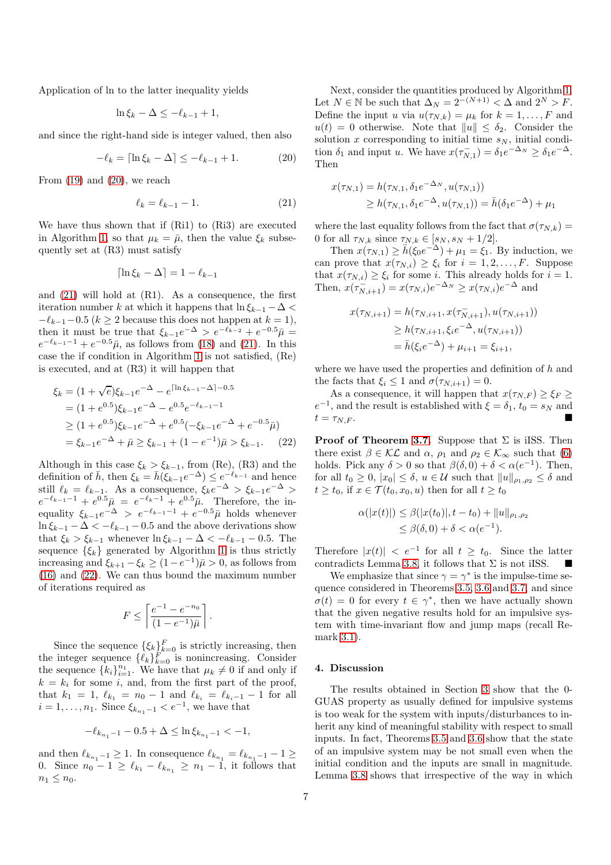Application of ln to the latter inequality yields

$$
\ln \xi_k - \Delta \le -\ell_{k-1} + 1,
$$

and since the right-hand side is integer valued, then also

$$
-\ell_k = \lceil \ln \xi_k - \Delta \rceil \le -\ell_{k-1} + 1. \tag{20}
$$

From  $(19)$  and  $(20)$ , we reach

$$
\ell_k = \ell_{k-1} - 1. \tag{21}
$$

We have thus shown that if (Ri1) to (Ri3) are executed in Algorithm [1,](#page-5-1) so that  $\mu_k = \bar{\mu}$ , then the value  $\xi_k$  subsequently set at (R3) must satisfy

$$
\lceil \ln \xi_k - \Delta \rceil = 1 - \ell_{k-1}
$$

and [\(21\)](#page-6-1) will hold at (R1). As a consequence, the first iteration number k at which it happens that  $\ln \xi_{k-1} - \Delta <$  $-\ell_{k-1}-0.5$  ( $k > 2$  because this does not happen at  $k = 1$ ), then it must be true that  $\xi_{k-1}e^{-\Delta} > e^{-\ell_{k-2}} + e^{-0.5}\bar{\mu} =$  $e^{-\ell_{k-1}-1} + e^{-0.5} \bar{\mu}$ , as follows from [\(18\)](#page-5-4) and [\(21\)](#page-6-1). In this case the if condition in Algorithm [1](#page-5-1) is not satisfied, (Re) is executed, and at (R3) it will happen that

$$
\xi_k = (1 + \sqrt{e})\xi_{k-1}e^{-\Delta} - e^{\lceil \ln \xi_{k-1} - \Delta \rceil - 0.5}
$$
  
=  $(1 + e^{0.5})\xi_{k-1}e^{-\Delta} - e^{0.5}e^{-\ell_{k-1} - 1}$   
 $\geq (1 + e^{0.5})\xi_{k-1}e^{-\Delta} + e^{0.5}(-\xi_{k-1}e^{-\Delta} + e^{-0.5}\bar{\mu})$   
=  $\xi_{k-1}e^{-\Delta} + \bar{\mu} \geq \xi_{k-1} + (1 - e^{-1})\bar{\mu} > \xi_{k-1}.$  (22)

Although in this case  $\xi_k > \xi_{k-1}$ , from (Re), (R3) and the definition of  $\bar{h}$ , then  $\xi_k = \bar{h}(\xi_{k-1}e^{-\Delta}) \leq e^{-\ell_{k-1}}$  and hence still  $\ell_k = \ell_{k-1}$ . As a consequence,  $\xi_k e^{-\Delta} > \xi_{k-1} e^{-\Delta} >$  $e^{-\ell_{k-1}-1} + e^{0.5}\bar{\mu} = e^{-\ell_k-1} + e^{0.5}\bar{\mu}$ . Therefore, the inequality  $\xi_{k-1}e^{-\Delta} > e^{-\ell_{k-1}-1} + e^{-0.5}\bar{\mu}$  holds whenever  $\ln \xi_{k-1} - \Delta < -\ell_{k-1} - 0.5$  and the above derivations show that  $\xi_k > \xi_{k-1}$  whenever  $\ln \xi_{k-1} - \Delta < -\ell_{k-1} - 0.5$ . The sequence  $\{\xi_k\}$  generated by Algorithm [1](#page-5-1) is thus strictly increasing and  $\xi_{k+1} - \xi_k \ge (1 - e^{-1})\bar{\mu} > 0$ , as follows from [\(16\)](#page-5-5) and [\(22\)](#page-6-2). We can thus bound the maximum number of iterations required as

$$
F \le \left\lceil \frac{e^{-1} - e^{-n_0}}{(1 - e^{-1})\bar{\mu}} \right\rceil.
$$

Since the sequence  $\{\xi_k\}_{k=0}^F$  is strictly increasing, then the integer sequence  $\{\ell_k\}_{k=0}^F$  is nonincreasing. Consider the sequence  ${k_i}_{i=1}^{n_1}$ . We have that  $\mu_k \neq 0$  if and only if  $k = k_i$  for some i, and, from the first part of the proof, that  $k_1 = 1$ ,  $\ell_{k_1} = n_0 - 1$  and  $\ell_{k_i} = \ell_{k_i-1} - 1$  for all  $i = 1, ..., n_1$ . Since  $\xi_{k_{n_1}-1} < e^{-1}$ , we have that

$$
-\ell_{k_{n_1}-1} - 0.5 + \Delta \le \ln \xi_{k_{n_1}-1} < -1,
$$

and then  $\ell_{k_{n_1}-1} \geq 1$ . In consequence  $\ell_{k_{n_1}} = \ell_{k_{n_1}-1} - 1 \geq$ 0. Since  $n_0 - 1 \ge \ell_{k_1} - \ell_{k_{n_1}} \ge n_1 - 1$ , it follows that  $n_1 \leq n_0$ .

Next, consider the quantities produced by Algorithm [1.](#page-5-1) Let  $N \in \mathbb{N}$  be such that  $\Delta_N = 2^{-(N+1)} < \Delta$  and  $2^N > F$ . Define the input u via  $u(\tau_{N,k}) = \mu_k$  for  $k = 1, \ldots, F$  and  $u(t) = 0$  otherwise. Note that  $||u|| \leq \delta_2$ . Consider the solution x corresponding to initial time  $s_N$ , initial condition  $\delta_1$  and input u. We have  $x(\tau_{N,1}^-) = \delta_1 e^{-\Delta_N} \ge \delta_1 e^{-\Delta}$ . Then

<span id="page-6-0"></span>
$$
x(\tau_{N,1}) = h(\tau_{N,1}, \delta_1 e^{-\Delta_N}, u(\tau_{N,1}))
$$
  
\n
$$
\geq h(\tau_{N,1}, \delta_1 e^{-\Delta}, u(\tau_{N,1})) = \bar{h}(\delta_1 e^{-\Delta}) + \mu_1
$$

<span id="page-6-1"></span>where the last equality follows from the fact that  $\sigma(\tau_{N,k}) =$ 0 for all  $\tau_{N,k}$  since  $\tau_{N,k} \in [s_N, s_N + 1/2].$ 

Then  $x(\tau_{N,1}) \ge \bar{h}(\xi_0 e^{-\Delta}) + \mu_1 = \xi_1$ . By induction, we can prove that  $x(\tau_{N,i}) \geq \xi_i$  for  $i = 1, 2, ..., F$ . Suppose that  $x(\tau_{N,i}) \geq \xi_i$  for some *i*. This already holds for  $i = 1$ . Then,  $x(\tau_{N,i+1}^{-}) = x(\tau_{N,i})e^{-\Delta_N} \geq x(\tau_{N,i})e^{-\Delta}$  and

$$
x(\tau_{N,i+1}) = h(\tau_{N,i+1}, x(\tau_{N,i+1}^{-}), u(\tau_{N,i+1}))
$$
  
\n
$$
\geq h(\tau_{N,i+1}, \xi_i e^{-\Delta}, u(\tau_{N,i+1}))
$$
  
\n
$$
= \bar{h}(\xi_i e^{-\Delta}) + \mu_{i+1} = \xi_{i+1},
$$

where we have used the properties and definition of  $h$  and the facts that  $\xi_i \leq 1$  and  $\sigma(\tau_{N,i+1}) = 0$ .

As a consequence, it will happen that  $x(\tau_{N,F}) \geq \xi_F \geq$  $e^{-1}$ , and the result is established with  $\xi = \delta_1$ ,  $t_0 = s_N$  and  $t = \tau_{N,F}.$ 

<span id="page-6-2"></span>**Proof of Theorem [3.7.](#page-5-0)** Suppose that  $\Sigma$  is iISS. Then there exist  $\beta \in \mathcal{KL}$  and  $\alpha$ ,  $\rho_1$  and  $\rho_2 \in \mathcal{K}_{\infty}$  such that [\(6\)](#page-2-8) holds. Pick any  $\delta > 0$  so that  $\beta(\delta, 0) + \delta < \alpha(e^{-1})$ . Then, for all  $t_0 \geq 0$ ,  $|x_0| \leq \delta$ ,  $u \in \mathcal{U}$  such that  $||u||_{\rho_1, \rho_2} \leq \delta$  and  $t \ge t_0$ , if  $x \in \mathcal{T}(t_0, x_0, u)$  then for all  $t \ge t_0$ 

$$
\alpha(|x(t)|) \leq \beta(|x(t_0)|, t - t_0) + ||u||_{\rho_1, \rho_2} \leq \beta(\delta, 0) + \delta < \alpha(e^{-1}).
$$

Therefore  $|x(t)| < e^{-1}$  for all  $t \geq t_0$ . Since the latter contradicts Lemma [3.8,](#page-5-6) it follows that  $\Sigma$  is not iISS.

We emphasize that since  $\gamma = \gamma^*$  is the impulse-time sequence considered in Theorems [3.5,](#page-4-1) [3.6](#page-4-2) and [3.7,](#page-5-0) and since  $\sigma(t) = 0$  for every  $t \in \gamma^*$ , then we have actually shown that the given negative results hold for an impulsive system with time-invariant flow and jump maps (recall Remark [3.1\)](#page-3-3).

#### 4. Discussion

The results obtained in Section [3](#page-2-9) show that the 0- GUAS property as usually defined for impulsive systems is too weak for the system with inputs/disturbances to inherit any kind of meaningful stability with respect to small inputs. In fact, Theorems [3.5](#page-4-1) and [3.6](#page-4-2) show that the state of an impulsive system may be not small even when the initial condition and the inputs are small in magnitude. Lemma [3.8](#page-5-6) shows that irrespective of the way in which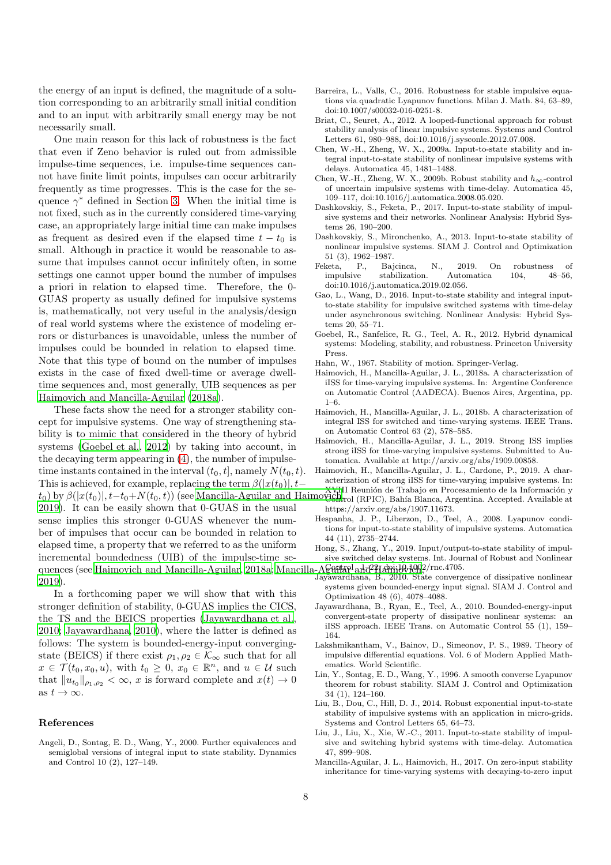the energy of an input is defined, the magnitude of a solution corresponding to an arbitrarily small initial condition and to an input with arbitrarily small energy may be not necessarily small.

One main reason for this lack of robustness is the fact that even if Zeno behavior is ruled out from admissible impulse-time sequences, i.e. impulse-time sequences cannot have finite limit points, impulses can occur arbitrarily frequently as time progresses. This is the case for the sequence  $\gamma^*$  defined in Section [3.](#page-4-3) When the initial time is not fixed, such as in the currently considered time-varying case, an appropriately large initial time can make impulses as frequent as desired even if the elapsed time  $t - t_0$  is small. Although in practice it would be reasonable to assume that impulses cannot occur infinitely often, in some settings one cannot upper bound the number of impulses a priori in relation to elapsed time. Therefore, the 0- GUAS property as usually defined for impulsive systems is, mathematically, not very useful in the analysis/design of real world systems where the existence of modeling errors or disturbances is unavoidable, unless the number of impulses could be bounded in relation to elapsed time. Note that this type of bound on the number of impulses exists in the case of fixed dwell-time or average dwelltime sequences and, most generally, UIB sequences as per [Haimovich and Mancilla-Aguilar \(2018a\)](#page-7-20).

These facts show the need for a stronger stability concept for impulsive systems. One way of strengthening stability is to mimic that considered in the theory of hybrid systems [\(Goebel et al., 2012\)](#page-7-17) by taking into account, in the decaying term appearing in [\(4\)](#page-2-0), the number of impulsetime instants contained in the interval  $(t_0, t]$ , namely  $N(t_0, t)$ . This is achieved, for example, replacing the term  $\beta(|x(t_0)|, t (t_0)$  by  $\beta(|x(t_0)|, t-t_0+N(t_0, t))$  (see Mancilla-Aguilar and Haimovichtrol (RPIC), Bahía Blanca, Argentina. Accepted. Available at [2019\)](#page-8-1). It can be easily shown that 0-GUAS in the usual sense implies this stronger 0-GUAS whenever the number of impulses that occur can be bounded in relation to elapsed time, a property that we referred to as the uniform incremental boundedness (UIB) of the impulse-time se-quences (see [Haimovich and Mancilla-Aguilar, 2018a;](#page-7-20) Mancilla-Aguilarel and Haimovich, /rnc.4705. [2019\)](#page-8-1).

In a forthcoming paper we will show that with this stronger definition of stability, 0-GUAS implies the CICS, the TS and the BEICS properties [\(Jayawardhana et al.,](#page-7-22) [2010;](#page-7-22) [Jayawardhana, 2010\)](#page-7-23), where the latter is defined as follows: The system is bounded-energy-input convergingstate (BEICS) if there exist  $\rho_1, \rho_2 \in \mathcal{K}_{\infty}$  such that for all  $x \in \mathcal{T}(t_0, x_0, u)$ , with  $t_0 \geq 0$ ,  $x_0 \in \mathbb{R}^n$ , and  $u \in \mathcal{U}$  such that  $||u_{t_0}||_{\rho_1, \rho_2} < \infty$ , x is forward complete and  $x(t) \to 0$ as  $t \to \infty$ .

## References

<span id="page-7-15"></span>Angeli, D., Sontag, E. D., Wang, Y., 2000. Further equivalences and semiglobal versions of integral input to state stability. Dynamics and Control 10 (2), 127–149.

- <span id="page-7-9"></span>Barreira, L., Valls, C., 2016. Robustness for stable impulsive equations via quadratic Lyapunov functions. Milan J. Math. 84, 63–89, doi:10.1007/s00032-016-0251-8.
- <span id="page-7-5"></span>Briat, C., Seuret, A., 2012. A looped-functional approach for robust stability analysis of linear impulsive systems. Systems and Control Letters 61, 980–988, doi:10.1016/j.sysconle.2012.07.008.
- <span id="page-7-2"></span>Chen, W.-H., Zheng, W. X., 2009a. Input-to-state stability and integral input-to-state stability of nonlinear impulsive systems with delays. Automatica 45, 1481–1488.
- <span id="page-7-3"></span>Chen, W.-H., Zheng, W. X., 2009b. Robust stability and  $h_{\infty}$ -control of uncertain impulsive systems with time-delay. Automatica 45, 109–117, doi:10.1016/j.automatica.2008.05.020.
- <span id="page-7-10"></span>Dashkovskiy, S., Feketa, P., 2017. Input-to-state stability of impulsive systems and their networks. Nonlinear Analysis: Hybrid Systems 26, 190–200.
- <span id="page-7-6"></span>Dashkovskiy, S., Mironchenko, A., 2013. Input-to-state stability of nonlinear impulsive systems. SIAM J. Control and Optimization 51 (3), 1962–1987.<br>Feketa. P., Bai
- <span id="page-7-12"></span>Bajcinca, N., 2019. On robustness of impulsive stabilization. Automatica 104, 48–56, doi:10.1016/j.automatica.2019.02.056.
- <span id="page-7-8"></span>Gao, L., Wang, D., 2016. Input-to-state stability and integral inputto-state stability for impulsive switched systems with time-delay under asynchronous switching. Nonlinear Analysis: Hybrid Systems 20, 55–71.
- <span id="page-7-17"></span>Goebel, R., Sanfelice, R. G., Teel, A. R., 2012. Hybrid dynamical systems: Modeling, stability, and robustness. Princeton University Press.
- <span id="page-7-13"></span>Hahn, W., 1967. Stability of motion. Springer-Verlag.
- <span id="page-7-20"></span>Haimovich, H., Mancilla-Aguilar, J. L., 2018a. A characterization of iISS for time-varying impulsive systems. In: Argentine Conference on Automatic Control (AADECA). Buenos Aires, Argentina, pp. 1–6.
- <span id="page-7-16"></span>Haimovich, H., Mancilla-Aguilar, J. L., 2018b. A characterization of integral ISS for switched and time-varying systems. IEEE Trans. on Automatic Control 63 (2), 578–585.
- <span id="page-7-19"></span>Haimovich, H., Mancilla-Aguilar, J. L., 2019. Strong ISS implies strong iISS for time-varying impulsive systems. Submitted to Automatica. Available at http://arxiv.org/abs/1909.00858.
- <span id="page-7-18"></span>Haimovich, H., Mancilla-Aguilar, J. L., Cardone, P., 2019. A characterization of strong iISS for time-varying impulsive systems. In:
- XVIII Reunión de Trabajo en Procesamiento de la Información y https://arxiv.org/abs/1907.11673.
- <span id="page-7-1"></span>Hespanha, J. P., Liberzon, D., Teel, A., 2008. Lyapunov conditions for input-to-state stability of impulsive systems. Automatica 44 (11), 2735–2744.
- <span id="page-7-11"></span>Hong, S., Zhang, Y., 2019. Input/output-to-state stability of impulsive switched delay systems. Int. Journal of Robust and Nonlinear
- <span id="page-7-23"></span>Jayawardhana, B., 2010. State convergence of dissipative nonlinear systems given bounded-energy input signal. SIAM J. Control and Optimization 48 (6), 4078–4088.
- <span id="page-7-22"></span>Jayawardhana, B., Ryan, E., Teel, A., 2010. Bounded-energy-input convergent-state property of dissipative nonlinear systems: an iISS approach. IEEE Trans. on Automatic Control 55 (1), 159– 164.
- <span id="page-7-0"></span>Lakshmikantham, V., Bainov, D., Simeonov, P. S., 1989. Theory of impulsive differential equations. Vol. 6 of Modern Applied Mathematics. World Scientific.
- <span id="page-7-21"></span>Lin, Y., Sontag, E. D., Wang, Y., 1996. A smooth converse Lyapunov theorem for robust stability. SIAM J. Control and Optimization 34 (1), 124–160.
- <span id="page-7-7"></span>Liu, B., Dou, C., Hill, D. J., 2014. Robust exponential input-to-state stability of impulsive systems with an application in micro-grids. Systems and Control Letters 65, 64–73.
- <span id="page-7-4"></span>Liu, J., Liu, X., Xie, W.-C., 2011. Input-to-state stability of impulsive and switching hybrid systems with time-delay. Automatica 47, 899–908.
- <span id="page-7-14"></span>Mancilla-Aguilar, J. L., Haimovich, H., 2017. On zero-input stability inheritance for time-varying systems with decaying-to-zero input